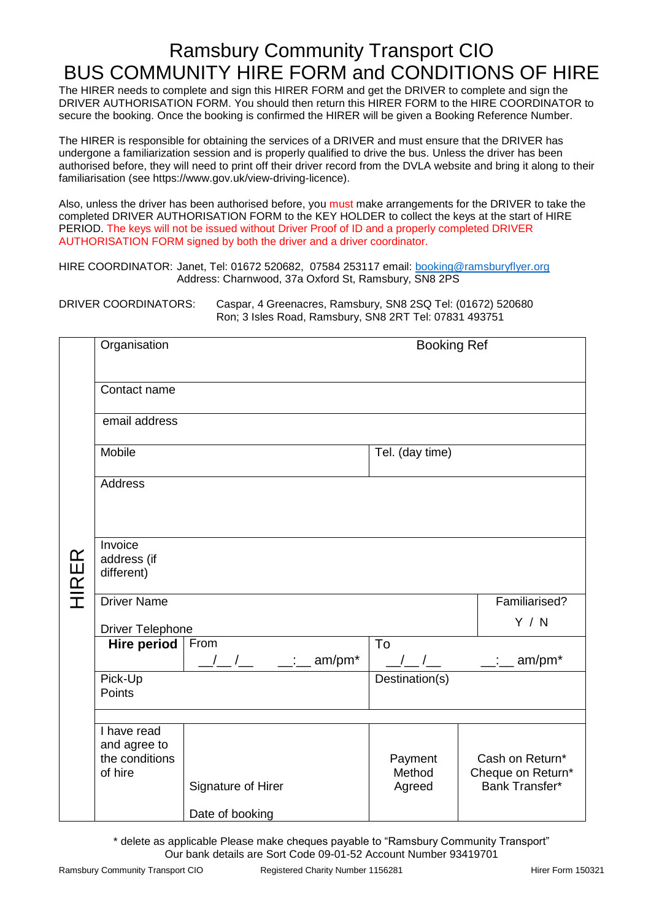## Ramsbury Community Transport CIO BUS COMMUNITY HIRE FORM and CONDITIONS OF HIRE

The HIRER needs to complete and sign this HIRER FORM and get the DRIVER to complete and sign the DRIVER AUTHORISATION FORM. You should then return this HIRER FORM to the HIRE COORDINATOR to secure the booking. Once the booking is confirmed the HIRER will be given a Booking Reference Number.

The HIRER is responsible for obtaining the services of a DRIVER and must ensure that the DRIVER has undergone a familiarization session and is properly qualified to drive the bus. Unless the driver has been authorised before, they will need to print off their driver record from the DVLA website and bring it along to their familiarisation (see https://www.gov.uk/view-driving-licence).

Also, unless the driver has been authorised before, you must make arrangements for the DRIVER to take the completed DRIVER AUTHORISATION FORM to the KEY HOLDER to collect the keys at the start of HIRE PERIOD. The keys will not be issued without Driver Proof of ID and a properly completed DRIVER AUTHORISATION FORM signed by both the driver and a driver coordinator.

HIRE COORDINATOR: Janet, Tel: 01672 520682, 07584 253117 email: [booking@ramsburyflyer.org](mailto:booking@ramsburyflyer.org) Address: Charnwood, 37a Oxford St, Ramsbury, SN8 2PS

DRIVER COORDINATORS: Caspar, 4 Greenacres, Ramsbury, SN8 2SQ Tel: (01672) 520680 Ron; 3 Isles Road, Ramsbury, SN8 2RT Tel: 07831 493751

|              | Organisation                                                                                         |                                                    | <b>Booking Ref</b>                                              |                                                        |
|--------------|------------------------------------------------------------------------------------------------------|----------------------------------------------------|-----------------------------------------------------------------|--------------------------------------------------------|
| <b>HIRER</b> | Contact name<br>email address<br>Mobile<br><b>Address</b>                                            |                                                    | Tel. (day time)                                                 |                                                        |
|              | Invoice<br>address (if<br>different)<br><b>Driver Name</b><br><b>Driver Telephone</b><br>Hire period | From                                               | $\overline{\text{To}}$                                          | Familiarised?<br>Y / N                                 |
|              | Pick-Up<br>Points                                                                                    | $\frac{1}{\sqrt{2}}$ / $\frac{1}{\sqrt{2}}$ am/pm* | $\left  \begin{array}{c} \end{array} \right $<br>Destination(s) | $\frac{1}{2}$ : am/pm*                                 |
|              | I have read<br>and agree to<br>the conditions<br>of hire                                             | Signature of Hirer<br>Date of booking              | Payment<br>Method<br>Agreed                                     | Cash on Return*<br>Cheque on Return*<br>Bank Transfer* |

\* delete as applicable Please make cheques payable to "Ramsbury Community Transport" Our bank details are Sort Code 09-01-52 Account Number 93419701